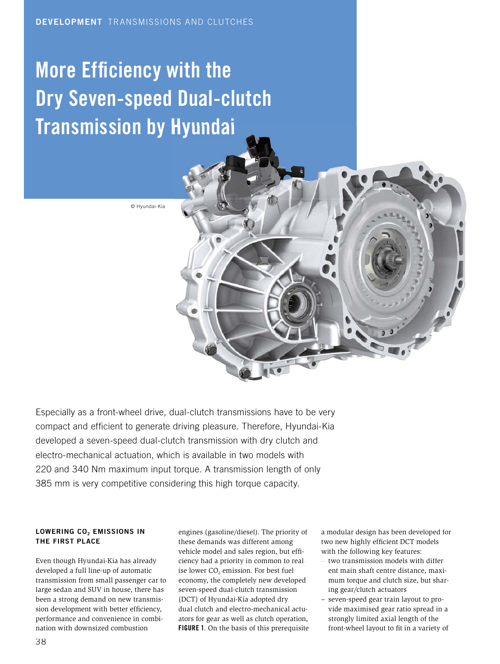# More Efficiency with the Dry Seven-speed Dual-clutch Transmission by Hyundai



## LOWERING CO<sub>2</sub> EMISSIONS IN THE FIRST PLACE

Even though Hyundai-Kia has already developed a full line-up of automatic transmission from small passenger car to large sedan and SUV in house, there has been a strong demand on new transmission development with better efficiency, performance and convenience in combination with downsized combustion

engines (gasoline/diesel). The priority of these demands was different among vehicle model and sales region, but efficiency had a priority in common to realise lower  $CO<sub>2</sub>$  emission. For best fuel economy, the completely new developed seven-speed dual-clutch transmission (DCT) of Hyundai-Kia adopted dry dual clutch and electro-mechanical actuators for gear as well as clutch operation, FIGURE 1. On the basis of this prerequisite a modular design has been developed for two new highly efficient DCT models with the following key features:

- two transmission models with different main shaft centre distance, maximum torque and clutch size, but sharing gear/clutch actuators
- seven-speed gear train layout to provide maximised gear ratio spread in a strongly limited axial length of the front-wheel layout to fit in a variety of

© Hyundai-Kia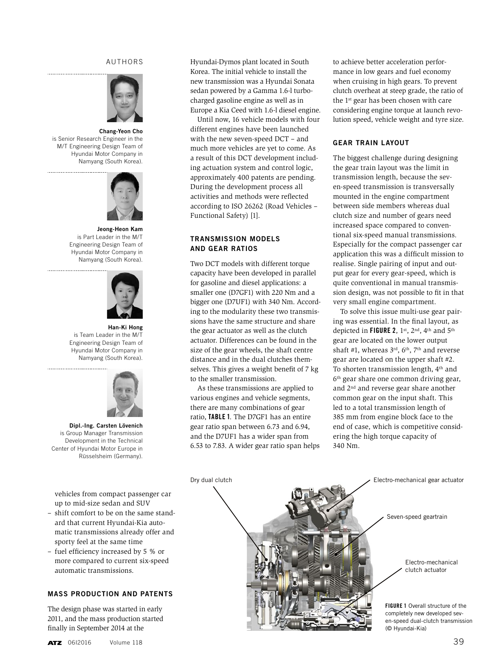#### AUTHORS



Chang-Yeon Cho is Senior Research Engineer in the M/T Engineering Design Team of Hyundai Motor Company in Namyang (South Korea).

..............................



Jeong-Heon Kam is Part Leader in the M/T Engineering Design Team of Hyundai Motor Company in Namyang (South Korea).



Han-Ki Hong is Team Leader in the M/T Engineering Design Team of Hyundai Motor Company in Namyang (South Korea).



Dipl.-Ing. Carsten Lövenich is Group Manager Transmission Development in the Technical Center of Hyundai Motor Europe in Rüsselsheim (Germany).

vehicles from compact passenger car up to mid-size sedan and SUV

- shift comfort to be on the same standard that current Hyundai-Kia automatic transmissions already offer and sporty feel at the same time
- fuel efficiency increased by 5 % or more compared to current six-speed automatic transmissions.

#### MASS PRODUCTION AND PATENTS

The design phase was started in early 2011, and the mass production started finally in September 2014 at the

Hyundai-Dymos plant located in South Korea. The initial vehicle to install the new transmission was a Hyundai Sonata sedan powered by a Gamma 1.6-l turbocharged gasoline engine as well as in Europe a Kia Ceed with 1.6-l diesel engine.

Until now, 16 vehicle models with four different engines have been launched with the new seven-speed DCT – and much more vehicles are yet to come. As a result of this DCT development including actuation system and control logic, approximately 400 patents are pending. During the development process all activities and methods were reflected according to ISO 26262 (Road Vehicles – Functional Safety) [1].

### TRANSMISSION MODELS AND GEAR RATIOS

Two DCT models with different torque capacity have been developed in parallel for gasoline and diesel applications: a smaller one (D7GF1) with 220 Nm and a bigger one (D7UF1) with 340 Nm. According to the modularity these two transmissions have the same structure and share the gear actuator as well as the clutch actuator. Differences can be found in the size of the gear wheels, the shaft centre distance and in the dual clutches themselves. This gives a weight benefit of 7 kg to the smaller transmission.

As these transmissions are applied to various engines and vehicle segments, there are many combinations of gear ratio, TABLE 1. The D7GF1 has an entire gear ratio span between 6.73 and 6.94, and the D7UF1 has a wider span from 6.53 to 7.83. A wider gear ratio span helps to achieve better acceleration performance in low gears and fuel economy when cruising in high gears. To prevent clutch overheat at steep grade, the ratio of the 1<sup>st</sup> gear has been chosen with care considering engine torque at launch revolution speed, vehicle weight and tyre size.

#### GEAR TRAIN LAYOUT

The biggest challenge during designing the gear train layout was the limit in transmission length, because the seven-speed transmission is transversally mounted in the engine compartment between side members whereas dual clutch size and number of gears need increased space compared to conventional six-speed manual transmissions. Especially for the compact passenger car application this was a difficult mission to realise. Single pairing of input and output gear for every gear-speed, which is quite conventional in manual transmission design, was not possible to fit in that very small engine compartment.

To solve this issue multi-use gear pairing was essential. In the final layout, as depicted in FIGURE 2, 1st, 2nd, 4th and 5th gear are located on the lower output shaft #1, whereas  $3<sup>rd</sup>$ , 6<sup>th</sup>, 7<sup>th</sup> and reverse gear are located on the upper shaft #2. To shorten transmission length, 4th and 6th gear share one common driving gear, and 2nd and reverse gear share another common gear on the input shaft. This led to a total transmission length of 385 mm from engine block face to the end of case, which is competitive considering the high torque capacity of 340 Nm.

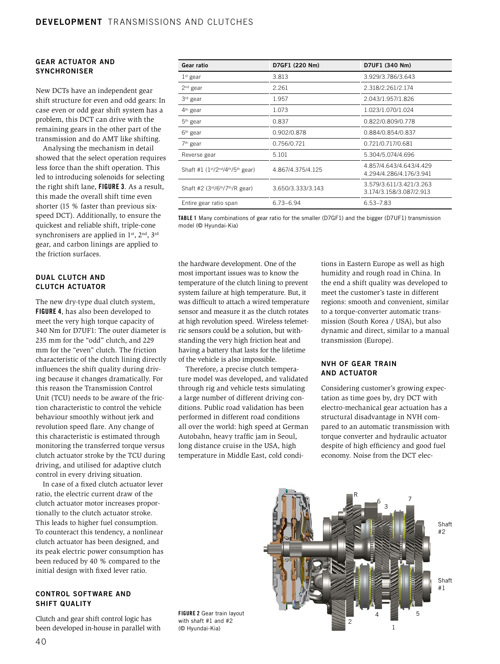#### GEAR ACTUATOR AND **SYNCHRONISER**

New DCTs have an independent gear shift structure for even and odd gears: In case even or odd gear shift system has a problem, this DCT can drive with the remaining gears in the other part of the transmission and do AMT like shifting.

Analysing the mechanism in detail showed that the select operation requires less force than the shift operation. This led to introducing solenoids for selecting the right shift lane, FIGURE 3. As a result, this made the overall shift time even shorter (15 % faster than previous sixspeed DCT). Additionally, to ensure the quickest and reliable shift, triple-cone synchronisers are applied in 1<sup>st</sup>, 2<sup>nd</sup>, 3<sup>rd</sup> gear, and carbon linings are applied to the friction surfaces.

#### DUAL CLUTCH AND CLUTCH ACTUATOR

The new dry-type dual clutch system, FIGURE 4, has also been developed to meet the very high torque capacity of 340 Nm for D7UF1: The outer diameter is 235 mm for the "odd" clutch, and 229 mm for the "even" clutch. The friction characteristic of the clutch lining directly influences the shift quality during driving because it changes dramatically. For this reason the Transmission Control Unit (TCU) needs to be aware of the friction characteristic to control the vehicle behaviour smoothly without jerk and revolution speed flare. Any change of this characteristic is estimated through monitoring the transferred torque versus clutch actuator stroke by the TCU during driving, and utilised for adaptive clutch control in every driving situation.

In case of a fixed clutch actuator lever ratio, the electric current draw of the clutch actuator motor increases proportionally to the clutch actuator stroke. This leads to higher fuel consumption. To counteract this tendency, a nonlinear clutch actuator has been designed, and its peak electric power consumption has been reduced by 40 % compared to the initial design with fixed lever ratio.

#### CONTROL SOFTWARE AND SHIFT QUALITY

Clutch and gear shift control logic has been developed in-house in parallel with

| Gear ratio                                                           | D7GF1 (220 Nm)    | D7UF1 (340 Nm)                                     |
|----------------------------------------------------------------------|-------------------|----------------------------------------------------|
| $1st$ gear                                                           | 3.813             | 3.929/3.786/3.643                                  |
| $2nd$ gear                                                           | 2.261             | 2.318/2.261/2.174                                  |
| 3 <sup>rd</sup> gear                                                 | 1.957             | 2.043/1.957/1.826                                  |
| 4 <sup>th</sup> gear                                                 | 1.073             | 1.023/1.070/1.024                                  |
| 5 <sup>th</sup> gear                                                 | 0.837             | 0.822/0.809/0.778                                  |
| 6 <sup>th</sup> gear                                                 | 0.902/0.878       | 0.884/0.854/0.837                                  |
| 7 <sup>th</sup> gear                                                 | 0.756/0.721       | 0.721/0.717/0.681                                  |
| Reverse gear                                                         | 5.101             | 5.304/5.074/4.696                                  |
| Shaft #1 (1st/2nd/4th/5th gear)                                      | 4.867/4.375/4.125 | 4.857/4.643/4.643/4.429<br>4.294/4.286/4.176/3.941 |
| Shaft #2 (3 <sup>rd</sup> /6 <sup>th</sup> /7 <sup>th</sup> /R gear) | 3.650/3.333/3.143 | 3.579/3.611/3.421/3.263<br>3.174/3.158/3.087/2.913 |
| Entire gear ratio span                                               | 6.73-6.94         | 6.53-7.83                                          |
|                                                                      |                   |                                                    |

TABLE 1 Many combinations of gear ratio for the smaller (D7GF1) and the bigger (D7UF1) transmission model (© Hyundai-Kia)

the hardware development. One of the most important issues was to know the temperature of the clutch lining to prevent system failure at high temperature. But, it was difficult to attach a wired temperature sensor and measure it as the clutch rotates at high revolution speed. Wireless telemetric sensors could be a solution, but withstanding the very high friction heat and having a battery that lasts for the lifetime of the vehicle is also impossible.

Therefore, a precise clutch temperature model was developed, and validated through rig and vehicle tests simulating a large number of different driving conditions. Public road validation has been performed in different road conditions all over the world: high speed at German Autobahn, heavy traffic jam in Seoul, long distance cruise in the USA, high temperature in Middle East, cold condi-

FIGURE 2 Gear train layout with shaft #1 and #2 (© Hyundai-Kia)

tions in Eastern Europe as well as high humidity and rough road in China. In the end a shift quality was developed to meet the customer's taste in different regions: smooth and convenient, similar to a torque-converter automatic transmission (South Korea / USA), but also dynamic and direct, similar to a manual transmission (Europe).

## NVH OF GEAR TRAIN AND ACTUATOR

Considering customer's growing expectation as time goes by, dry DCT with electro-mechanical gear actuation has a structural disadvantage in NVH compared to an automatic transmission with torque converter and hydraulic actuator despite of high efficiency and good fuel economy. Noise from the DCT elec-